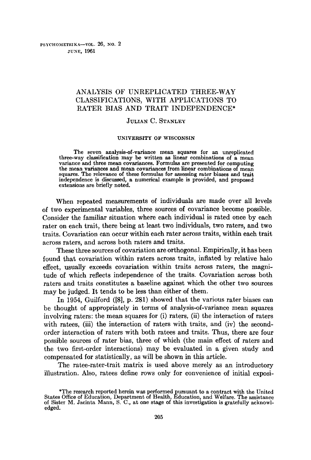# ANALYSIS OF UNREPLICATED THREE-WAY CLASSIFICATIONS, WITH APPLICATIONS TO RATER BIAS AND TRAIT INDEPENDENCE\*

# JULIAN C. STANLEY

#### **UNIVERSITY OF WISCONSIN**

The seven analysis-of-variance mean squares for an unreplicated three-way classification may be written as linear combinations of a mean variance and three mean covariances. Formulas are presented for computing the mean variances and mean covariances from linear combinations of mean squares. The relevance of these formulas for assessing rater biases and trait independence is discussed, a numerical example is provided, and proposed extensions are briefly noted.

When repeated measurements of individuals are made over all levels of two experimental variables, three sources of covariance become possible. Consider the familiar situation where each individual is rated once by each rater on each trait, there being at least two individuals, two raters, and two traits. Covariation can occur within each rater across traits, within each trait across raters, and across both raters and traits.

These three sources of covariation are orthogonal. Empirically, it has been found that covariation within raters across traits, inflated by relative halo effect, usually exceeds covariation within traits across raters, the magnitude of which reflects independence of the traits. Covariation across both raters and traits constitutes a baseline against which the other two sources may be judged. It tends to be less than either of them.

In 1954, Guilford ([8], p. 281) showed that the various rater biases can be thought of appropriately in terms of analysis-of-variance mean squares involving raters: the mean squares for (i) raters, (ii) the interaction of raters with ratees, (iii) the interaction of raters with traits, and (iv) the secondorder interaction of raters with both ratees and traits. Thus, there are four possible sources of rater bias, three of which (the main effect of raters and the two first-order interactions) may be evaluated in a given study and compensated for statistically, as will be shown in this article.

The ratee-rater-trait matrix is used above merely as an introductory illustration. Also, ratees define rows only for convenience of initial exposi-

<sup>\*</sup>The research reported herein was performed pursuant to a contract with the United<br>States Office of Education, Department of Health, Education, and Welfare. The assistance<br>of Sister M. Jacinta Mann, S. C., at one stage of edged.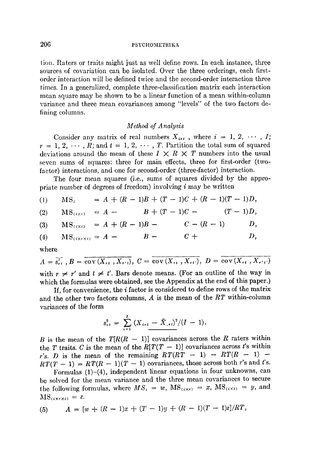tion. Raters or traits might just as well define rows. In each instance, three sources of covariation can be isolated. Over the three orderings, each firstorder interaction will be defined twice and the second-order interaction three times. In a generalized, complete three-classification matrix each interaction mean square may be shown to be a linear function of a mean within-column variance and three mean covariances among "levels" of the two factors defining columns.

# *Method of Analysis*

Consider any matrix of real numbers  $X_{i,t}$ , where  $i = 1, 2, \cdots, I;$  $r = 1, 2, \cdots, R$ ; and  $t = 1, 2, \cdots, T$ . Partition the total sum of squared deviations around the mean of these  $I \times R \times T$  numbers into the usual seven sums of squares: three for main effects, three for first-order (twofactor) interactions, and one for second-order (three-factor) interaction.

The four mean squares (i.e., sums of squares divided by the appropriate number of degrees of freedom) involving  $i$  may be written

(1) 
$$
MS_i = A + (R-1)B + (T-1)C + (R-1)(T-1)D,
$$

(2)  $MS_{(i \times r)} = A - B + (T - 1)C - (T - 1)D,$ 

(3) 
$$
MS_{(i \times i)} = A + (R - 1)B - C - (R - 1) \qquad D,
$$

$$
(4) \qquad \text{MS}_{\left(\text{K}\times\text{K}\right)} = A - B - C + D,
$$

where

$$
A = \overline{s_{rt}}^2
$$
,  $B = \overline{\text{cov}(X_{rt}, X_{rt})}$ ,  $C = \overline{\text{cov}(X_{rt}, X_{rt'})}$ ,  $D = \overline{\text{cov}(X_{rt}, X_{rt'})}$   
with  $r \neq r'$  and  $t \neq t'$ . Bars denote means. (For an outline of the way in  
which the formulas were obtained, see the Appendix at the end of this paper.)

If, for convenience, the i factor is considered to define rows of the matrix and the other two factors columns, A is the mean of the *RT* within-column variances of the form

$$
s_{rt}^2 = \sum_{i=1}^{I} (X_{irt} - \bar{X}_{.rt})^2 / (I - 1).
$$

B is the mean of the  $T[R(R - 1)]$  covariances across the R raters within the T traits. C is the mean of the  $R[T(T-1)]$  covariances across t's within r's. D is the mean of the remaining  $RT(RT - 1) - RT(R - 1) RT(T-1) = RT(R-1)(T-1)$  covariances, those across both r's and t's.

Formulas (1)-(4), independent linear equations in four unknowns, can be solved for the mean variance and the three mean covarianees to secure the following formulas, where  $MS_i = w$ ,  $MS_{(i \times r)} = x$ ,  $MS_{(i \times t)} = y$ , and  $MS_{(i \times r \times t)} = z.$ 

(5) 
$$
A = \frac{w + (R - 1)x + (T - 1)y + (R - 1)(T - 1)z}{RT},
$$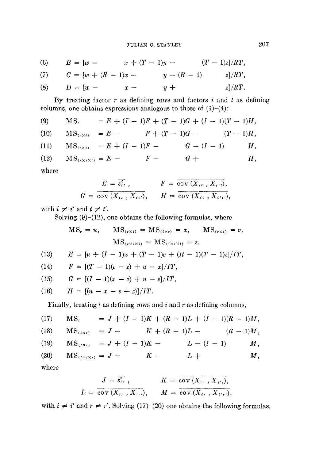(6)  $B = [w - x + (T - 1)y - (T - 1)z]/RT$ (7) **(8)**   $C = [w + (R - 1)x - y - (R - 1)$  *z*]/*RT*,  $D = [w - x - y + z]/RT$ .

By treating factor  $r$  as defining rows and factors  $i$  and  $t$  as defining columns, one obtains expressions analogous to those of  $(1)-(4)$ :

- **(9)**   $MS_r = E + (I - 1)F + (T - 1)G + (I - 1)(T - 1)H,$
- (10)  $MS_{(r \times i)} = E - F + (T - 1)G - (T - 1)H,$
- (11)  $\text{MS}_{(r \times t)} = E + (I - 1)F - G - (I - 1)$  *H*,
- $(12)$  $MS_{(r \times i \times t)} = E F G +$   $H$ ,

where

$$
E = \overline{s_{i\ell}^2}, \qquad F = \overline{\text{cov}(X_{i\ell}, X_{i'\ell})},
$$
  

$$
G = \overline{\text{cov}(X_{i\ell}, X_{i\ell'})}, \qquad H = \overline{\text{cov}(X_{i\ell}, X_{i'\ell'})},
$$

with  $i \neq i'$  and  $t \neq t'$ .

Solving  $(9)$ - $(12)$ , one obtains the following formulas, where

$$
MS_r = u, \qquad MS_{(r \times i)} = MS_{(i \times r)} = x, \qquad MS_{(r \times i)} = v,
$$

$$
MS_{(r \times i \times i)} = MS_{(i \times r \times i)} = z.
$$

(13) 
$$
E = [u + (I - 1)x + (T - 1)v + (R - 1)(T - 1)z]/IT,
$$

(14) 
$$
F = [(T-1)(v-z) + u - x]/IT,
$$

(15) 
$$
G = [(I-1)(x-z) + u - v]/IT,
$$

(16) 
$$
H = [(u - x - v + z)]/IT.
$$

Finally, treating  $t$  as defining rows and  $i$  and  $r$  as defining columns,

(17) MS, 
$$
= J + (I - 1)K + (R - 1)L + (I - 1)(R - 1)M,
$$
  
\n(18) MS<sub>(txi)</sub> 
$$
= J - K + (R - 1)L - (R - 1)M,
$$
  
\n(19) MS<sub>(txi)</sub> 
$$
= J + (I - 1)K - L - (I - 1)M,
$$
  
\n(20) MS<sub>(txi)</sub> 
$$
= J - K - L + M,
$$
  
\nwhere

where

$$
L = \frac{J = \overline{s_{i\,r}}{s_{i\,r}} , \qquad K = \overline{\operatorname{cov}(X_{i\,r}, X_{i'\,r})},
$$
  

$$
L = \overline{\operatorname{cov}(X_{i\,r}, X_{i\,r})}, \qquad M = \overline{\operatorname{cov}(X_{i\,r}, X_{i'\,r})},
$$

with  $i \neq i'$  and  $r \neq r'$ . Solving (17)-(20) one obtains the following formulas,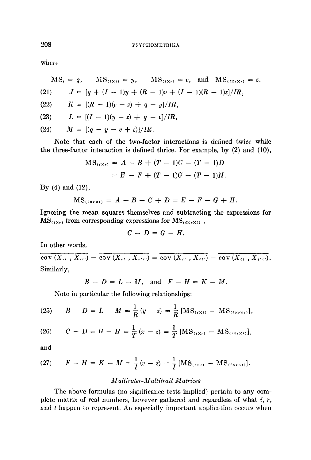where

$$
MS_{i} = q, \quad MS_{(i \times i)} = y, \quad MS_{(i \times r)} = v, \text{ and } MS_{(i \times i \times r)} = z.
$$
\n
$$
(21) \quad J = [q + (I - 1)y + (R - 1)v + (I - 1)(R - 1)z]/IR,
$$
\n
$$
(22) \quad K = [(R - 1)(v - z) + q - y]/IR,
$$
\n
$$
(23) \quad L = [(I - 1)(y - z) + q - v]/IR,
$$

(24) 
$$
M = [(q - y - v + z)]/IR.
$$

Note that each of the two-factor interactions is defined twice while the three-factor interaction is defined thrice. For example, by (2) and (10),

$$
MS_{(i \times r)} = A - B + (T - 1)C - (T - 1)D
$$
  
= E - F + (T - 1)G - (T - 1)H.

By (4) and (12),

$$
MS_{(i \times r \times t)} = A - B - C + D = E - F - G + H
$$

Ignoring the mean squares themselves and subtracting the expressions for  $MS_{(i \times r)}$  from corresponding expressions for  $MS_{(i \times r \times t)}$ ,

$$
C - D = G - H.
$$

In other words,

 $\overline{\text{cov}(X_{i}, X_{i'})} - \overline{\text{cov}(X_{i}, X_{i'})} = \overline{\text{cov}(X_{i}, X_{i'})} - \overline{\text{cov}(X_{i}, X_{i'})}.$ Similarly,

 $B-D=L-M$ , and  $F-H=K-M$ .

Note in particular the following relationships:

(25) 
$$
B - D = L - M = \frac{1}{R} (y - z) = \frac{1}{R} [\text{MS}_{(i \times t)} - \text{MS}_{(i \times r \times t)}],
$$

(26) 
$$
C - D = G - H = \frac{1}{T}(x - z) = \frac{1}{T} [MS_{(i \times r)} - MS_{(i \times r \times t)}],
$$

and

(27) 
$$
F - H = K - M = \frac{1}{I}(v - z) = \frac{1}{I} [MS_{(r \times t)} - MS_{(i \times r \times t)}].
$$

# *Multirater-Multitrait Matrices*

The above formulas (no significance tests implied) pertain to any complete matrix of real numbers, however gathered and regardless of what  $i$ ,  $r$ , and t happen to represent. An especially important application occurs when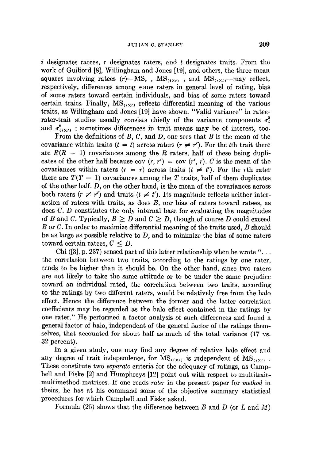$i$  designates ratees, r designates raters, and t designates traits. From the work of Guilford [8], Willingham and Jones [19], and others, the three mean squares involving ratees  $(r)$ —MS, MS<sub>(iXt)</sub>, and MS<sub>(rXt)</sub>—may reflect, respectively, differences among some raters in general level of rating, bias of some raters toward certain individuals, and bias of some raters toward certain traits. Finally,  $MS_{(i \times i)}$  reflects differential meaning of the various traits, as Willingham and Jones [19] have shown. "Valid variance" in rateerater-trait studies usually consists chiefly of the variance components  $\sigma_i^2$ and  $\sigma^2_{(\{X_t\})}$ ; sometimes differences in trait means may be of interest, too.

From the definitions of  $B, C$ , and  $D$ , one sees that  $B$  is the mean of the covariance within traits  $(t = t)$  across raters  $(r \neq r')$ . For the tth trait there are  $R(R - 1)$  covariances among the R raters, half of these being duplicates of the other half because cov  $(r, r') = \text{cov}(r', r)$ . C is the mean of the covariances within raters  $(r = r)$  across traits  $(t \neq t')$ . For the rth rater there are  $T(T - 1)$  covariances among the T traits, half of them duplicates of the other half. D, on the other hand, is the mean of the covariances across both raters  $(r \neq r')$  and traits  $(t \neq t')$ . Its magnitude reflects neither interaction of ratees with traits, as does  $B$ , nor bias of raters toward ratees, as does C. D constitutes the only internal base for evaluating the magnitudes of B and C. Typically,  $B \geq D$  and  $C \geq D$ , though of course D could exceed B or C. In order to maximize differential meaning of the traits used, B should be as large as possible relative to  $D$ , and to minimize the bias of some raters toward certain ratees,  $C \leq D$ .

Chi ([3], p. 237) sensed part of this latter relationship when he wrote *"...*  the correlation between two traits, according to the ratings by one rater, tends to be higher than it should be. On the other hand, since two raters are not likely to take the same attitude or to be under the same prejudice toward an individual rated, the correlation between two traits, according to the ratings by two different raters, would be relatively free from the halo effect. Hence the difference between the former and the latter correlation coefficients may be regarded as the halo effect contained in the ratings by one rater." He performed a factor analysis of such differences and found a general factor of halo, independent of the general factor of the ratings themselves, that accounted for about half as much of the total variance (17 vs. 32 percent).

In a given study, one may find any degree of relative halo effect and any degree of trait independence, for  $\text{MS}_{(i \times r)}$  is independent of  $\text{MS}_{(i \times t)}$ . These constitute two *separate* criteria for the adequacy of ratings, as Campbell and Fiske [2] and Humphreys [12] point out with respect to multitraitmultimethod matrices. If one reads *rater* in the present paper for *method* in theirs, he has at his command some of the objective summary statistical procedures for which Campbell and Fiske asked.

Formula (25) shows that the difference between B and D (or L and M)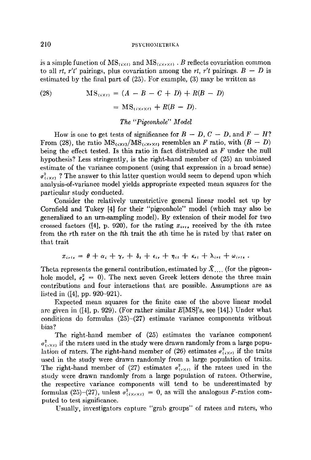is a simple function of  $\text{MS}_{(i \times t)}$  and  $\text{MS}_{(i \times r \times t)}$  . B reflects covariation common to all *rt, r't'* pairings, plus covariation among the *rt, r't* pairings.  $B - D$  is estimated by the final part of (25). For example, (3) may be written as

(28) 
$$
MS_{(i \times i)} = (A - B - C + D) + R(B - D)
$$

$$
= MS_{(i \times r \times i)} + R(B - D).
$$

# *The "Pigeonhole" Model*

How is one to get tests of significance for  $B - D$ ,  $C - D$ , and  $F - H$ ? From (28), the ratio  $MS_{(i \times i)}/MS_{(i \times r \times i)}$  resembles an F ratio, with  $(B - D)$ being the effect tested. Is this ratio in fact distributed as  $F$  under the null hypothesis? Less stringently, is the right-hand member of (25) an unbiased estimate of the variance component (using that expression in a broad sense)  $\sigma_{(i \times i)}^2$ ? The answer to this latter question would seem to depend upon which analysis-of-variance model yields appropriate expected mean squares for the particular study conducted.

Consider the relatively unrestrictive general linear model set up by Cornfield and Tukey [4] for their "pigeonhole" model (which may also be generalized to an urn-sampling model). By extension of their model for two crossed factors ([4], p. 920), for the rating  $x_{i+1}$ , received by the *i*th ratee from the rth rater on the tth trait the sth time he is rated by that rater on that trait

$$
x_{irts} = \theta + \alpha_i + \gamma_r + \delta_t + \epsilon_{ir} + \eta_{it} + \kappa_{rt} + \lambda_{irt} + \omega_{irts}.
$$

Theta represents the general contribution, estimated by  $\bar{X}$ .... (for the pigeonhole model,  $\sigma_{\theta}^2 = 0$ ). The next seven Greek letters denote the three main contributions and four interactions that are possible. Assumptions are as listed in ([4], pp. 920-921).

Expected mean squares for the finite case of the above linear model are given in  $([4], p. 929)$ . (For rather similar  $E[MS]$ 's, see [14].) Under what conditions do formulas (25)-(27) estimate variance components without bias?

The right-hand member of (25) estimates the variance component  $\sigma_{(i \times i)}^2$  if the raters used in the study were drawn randomly from a large population of raters. The right-hand member of (26) estimates  $\sigma_{(i \times r)}^2$  if the traits used in the study were drawn randomly from a large population of traits. The right-hand member of (27) estimates  $\sigma_{(r\times r)}^2$  if the ratees used in the study were drawn randomly from a large population of ratees. Otherwise, the respective variance components will tend to be underestimated by formulas (25)-(27), unless  $\sigma_{(i \times r \times i)}^2 = 0$ , as will the analogous F-ratios computed to test significance.

Usually, investigators capture "grab groups" of ratees and raters, who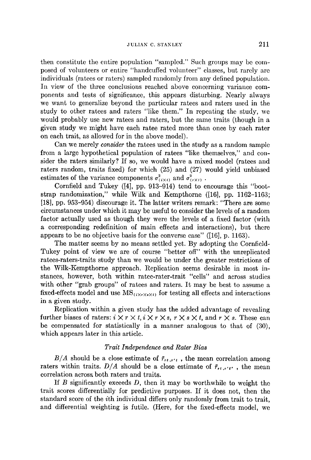then constitutc the entire population "samplcd." Such groups may be composed of volunteers or entire "handcuffed volunteer" classes, but rarely arc individuals (ratces or raters) sampled randomly from any defined population. In view of the three conclusions reached above concerning variance components and tests of significance, this appears disturbing. Nearly always we want to generalize beyond the particular ratees and raters used in the study to other ratees and raters "like them." In repeating the study, we would probably use new ratees and raters, but the same traits (though in a given study we might have each ratee rated more than once by each rater on each trait, as allowed for in the above model).

Can we merely *consider* the ratees used in the study as a random sample from a large hypothetical population of ratees "like themselves," and consider the raters similarly? If so, we would have a mixed model (ratees and raters random, traits fixed) for which (25) and (27) would yield unbiased estimates of the variance components  $\sigma_{(i \times i)}^2$  and  $\sigma_{(r \times i)}^2$ .

Cornfield and Tukey ([4], pp. 913-914) tend to encourage this "bootstrap randomization," while Wilk and Kempthorne ([16], pp. 1162-1163; [18], pp. 953-954) discourage it. The latter writers remark: "There are some circumstances under which it may be useful to consider the levels of a random factor actually used as though they were the levels of a fixed factor (with a corresponding redefinition of main effects and interactions), but thcre appears to be no objective basis for the converse case" ([16], p. 1163).

The matter seems by no means settled yet. By adopting the Cornfield-Tukey point of view we are of course "better off" with the unreplicated ratees-raters-traits study than we would be under the greater restrictions of the Wilk-Kempthorne approach. Replication seems desirable in most instances, however, both within ratee-rater-trait "cells" and across studies with other "grab groups" of ratees and raters. It may be best to assume a fixed-effects model and use  $MS_{(i \times r \times s \times t)}$  for testing all effects and interactions in a given study.

Replication within a given study has the added advantage of revealing further biases of raters:  $i \times r \times t$ ,  $i \times r \times s$ ,  $r \times s \times t$ , and  $r \times s$ . These can be compensated for statistically in a manner analogous to that of (30), which appears later in this article.

# *Trait Independence and Rater Bias*

 $B/A$  should be a close estimate of  $\bar{r}_{rt,r't}$ , the mean correlation among raters within traits.  $D/A$  should be a close estimate of  $\bar{r}_{rt,r'i'}$ , the mean correlation across both raters and traits.

If  $B$  significantly exceeds  $D$ , then it may be worthwhile to weight the trait scores differentially for predictive purposes. If it does not, then the standard score of the ith individual differs only randomly from trait to trait, and differential weighting is futile. (Here, for the fixed-effects model, we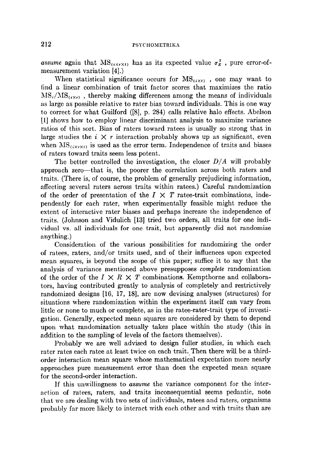*assume* again that  $MS_{(i \times r \times t)}$  has as its expected value  $\sigma_{\mathcal{E}}^2$ , pure error-ofmeasurement variation [4].)

When statistical significance occurs for  $MS_{(i \times i)}$ , one may want to find a linear combination of trait factor scores that maximizes the ratio  $MS_i/MS_{(i\times r)}$ , thereby making differences among the means of individuals as large as possible relative to rater bias toward individuals. This is one way to correct for what Guilford ([8], p. 284) calls relative halo effects. Abelson [1] shows how to employ linear discriminant analysis to maximize variance ratios of this sort. Bias of raters toward ratees is usually so strong that in large studies the  $i \times r$  interaction probably shows up as significant, even when  $MS_{(i \times r \times t)}$  is used as the error term. Independence of traits and biases of raters toward traits seem less potent.

The better controlled the investigation, the closer *D/A* will probably approach zero--that is, the poorer the correlation across both raters and traits. (There is, of course, the problem of generally prejudicing information, affecting several raters across traits within ratees.) Careful randomization of the order of presentation of the  $I \times T$  ratee-trait combinations, independently for each rater, when experimentally feasible might reduce the extent of interactive rater biases and perhaps increase the independence of traits. (Johnson and Vidulich [13] tried two orders, all traits for one individual vs. all individuals for one trait, but apparently did not randomize anything.)

Consideration of the various possibilities for randomizing the order of ratees, raters, and/or traits used, and of their influences upon expected mean squares, is beyond the scope of this paper; suffice it to say that the analysis of variance mentioned above presupposes *complete* randomization of the order of the  $I \times R \times T$  combinations. Kempthorne and collaborators, having contributed greatly to analysis of completely and restrictively randomized designs [16, 17, 18], are now devising analyses (structures) for situations where randomization within the experiment itself can vary from little or none to much or complete, as in the ratee-rater-trait type of investigation. Generally, expected mean squares arc considered by them to depend upon what randomization actually takes place within the study (this in addition to the sampling of levels of the factors themselves).

Probably we are well advised to design fuller studies, in which each rater rates each ratee at least twice on each trait. Then there will be a thirdorder interaction mean square whose mathematical expectation more nearly approaches pure measurement error than does the expected mean square for the second-order interaction.

If this unwillingness to *assume* the variance component for the interaction of ratees, raters, and traits inconsequential seems pedantic, note that we are dealing with two sets of individuals, ratees and raters, organisms probably far more likely to interact with each other and with traits than are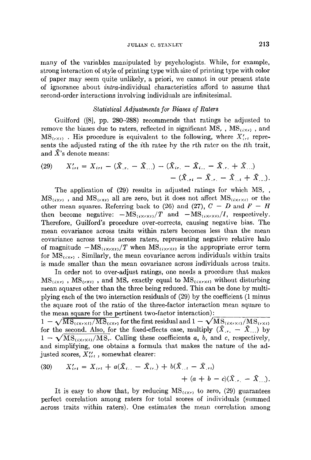many of the variables manipulated by psychologists. While, for example, strong interaction of style of printing type with size of printing type with color of paper may seem quite unlikely, a priori, we cannot in our present state of ignorance about *intra-individual* characteristics afford to assume that second-order interactions involving individuals are infinitesimal.

## *Statistical Adjustments for Biases of Raters*

Guilford ([8], pp. 280-288) recommends that ratings be adjusted to remove the biases due to raters, reflected in significant MS,  $\text{MS}_{(i \times r)}$ , and  $MS_{(\tau \times t)}$ . His procedure is equivalent to the following, where  $X'_{i\tau t}$  represents the adjusted rating of the ith ratee by the rth rater on the tth trait, and  $\bar{X}$ 's denote means:

(29) 
$$
X'_{irt} = X_{irt} - (\bar{X}_{,r.} - \bar{X}_{,..}) - (\bar{X}_{ir.} - \bar{X}_{i..} - \bar{X}_{,r.} + \bar{X}_{,..}) - (\bar{X}_{,rt} - \bar{X}_{,r.} - \bar{X}_{,rt} + \bar{X}_{,..}).
$$

The application of (29) results in adjusted ratings for which MS. ,  $MS_{(i \times r)}$ , and  $MS_{(r \times i)}$  all are zero, but it does not affect  $MS_{(i \times r \times i)}$  or the other mean squares. Referring back to (26) and (27),  $C - D$  and  $F - H$ then become negative:  $-MS_{(i\times r\times t)}/T$  and  $-MS_{(i\times r\times t)}/I$ , respectively. Therefore, Guilford's procedure over-corrects, causing negative bias. The mean covariance across traits within raters becomes less than the mean covariance across traits across raters, representing negative relative halo of magnitude  $-MS_{(i\times r\times t)}/T$  when  $MS_{(i\times r\times t)}$  is the appropriate error term for  $MS_{(i \times r)}$ . Similarly, the mean covariance across individuals within traits is made smaller than the mean covariance across individuals across traits.

In order not to over-adjust ratings, one needs a procedure that makes  $MS_{(i \times r)}$ ,  $MS_{(r \times t)}$ , and MS, exactly equal to  $MS_{(i \times r \times t)}$  without disturbing mean squares other than the three being reduced. This can be done by multiplying each of the two interaction residuals of (29) by the coefficient (1 minus the square root of the ratio of the three-factor interaction mean square to the mean square for the pertinent two-factor interaction):

 $1 - \sqrt{MS_{(i \times r \times l)} / MS_{(i \times r)}}$  for the first residual and  $1 - \sqrt{MS_{(i \times r \times l)} / MS_{(r \times l)}}$ for the second. Also, for the fixed-effects case, multiply  $(\bar{X}_{r} - \bar{X}_{r})$  by  $1 - \sqrt{MS_{(i \times r \times i)} / MS_r}$ . Calling these coefficients a, b, and c, respectively, and simplifying, one obtains a formula that makes the nature of the adjusted scores,  $X_{i}^{\prime\prime}$ , somewhat clearer:

(30) 
$$
X'_{i\tau t} = X_{i\tau t} + a(\bar{X}_{i\cdot\cdot} - \bar{X}_{i\tau}) + b(\bar{X}_{\cdot\cdot} - \bar{X}_{\cdot\tau}) + (a + b - c)(\bar{X}_{\cdot\tau} - \bar{X}_{\cdot\cdot\cdot}).
$$

It is easy to show that, by reducing  $MS_{(\infty)}$  to zero, (29) guarantees perfect correlation among raters for total scores of individuals (summed across traits within raters). One estimates the mean correlation among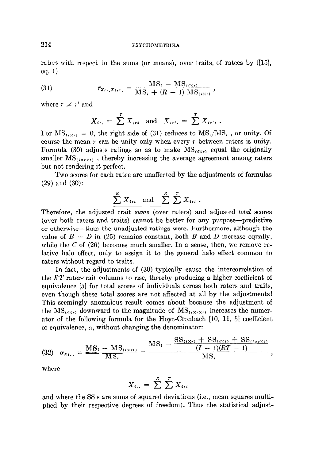raters with respect to the sums (or means), over traits, of ratees by ([15], eq. 1)

(31) 
$$
\bar{r}_{x_{i\prime},x_{i\prime'}} = \frac{\text{MS}_{i} - \text{MS}_{(i\times r)}}{\text{MS}_{i} + (R-1)\text{ MS}_{(i\times r)}},
$$

where  $r \neq r'$  and

$$
X_{ir.} = \sum_{i=1}^{r} X_{irt}
$$
 and  $X_{ir'} = \sum_{i=1}^{r} X_{ir't}$ .

For  $\text{MS}_{(i \times r)} = 0$ , the right side of (31) reduces to  $\text{MS}_i/\text{MS}_i$ , or unity. Of course the mean  $r$  can be unity only when every  $r$  between raters is unity. Formula (30) adjusts ratings so as to make  $MS_{(i \times r)}$  equal the originally smaller  $MS_{(i \times r \times t)}$ , thereby increasing the average agreement among raters but not rendering it perfect.

Two scores for each ratee are unaffected by the adjustments of formulas (29) and (30):

$$
\sum_{i=1}^{R} X_{i\tau i}
$$
 and 
$$
\sum_{i=1}^{R} \sum_{i=1}^{T} X_{i\tau i}
$$
.

Therefore, the adjusted trait *sums* (over raters) and adjusted *total* scores (over both raters and traits) cannot be better for any purpose--predictive or otherwise--than the unadjusted ratings were. Furthermore, although the value of  $B - D$  in (25) remains constant, both B and D increase equally, while the C of  $(26)$  becomes much smaller. In a sense, then, we remove relativc halo effect, only to assign it to the general halo effect common to raters without regard to traits.

In fact, the adjustments of (30) typically cause the intercorrelation of the *RT* rater-trait columns to rise, thereby producing a higher coefficient of equivalence [5] for total scores of individuals across both raters and traits, even though these total scores are not affected at all by the adjustments! This seemingly anomalous result comes about because the adjustment of the  $\text{MS}_{(i \times r)}$  downward to the magnitude of  $\text{MS}_{(i \times r \times i)}$  increases the numerator of the following formula for the Hoyt-Cronbach  $[10, 11, 5]$  coefficient of equivalence,  $\alpha$ , without changing the denominator:

$$
(32) \quad \alpha_{X_{i..}} = \frac{MS_{i} - MS_{(i \times r)}}{MS_{i}} = \frac{MS_{i} - \frac{SS_{(i \times r)} + SS_{(i \times r)} + SS_{(i \times r \times t)}}{(I-1)(RT-1)}}{MS_{i}},
$$

where

$$
X_{i..} = \sum_{i}^{R} \sum_{i}^{T} X_{i}
$$

and where the SS's are sums of squared deviations (i.e., mean squares multiplied by their respective degrees of freedom). Thus the statistical adjust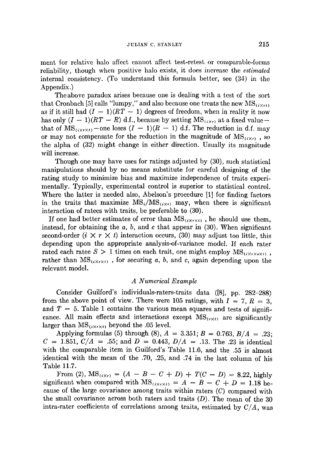ment for relative halo affect cannot affect test-retest or comparable-forms reliability, though when positive halo exists, it does increase the *estimated*  internal consistency. (To understand this formula better, see (34) in the Appendix.)

The above paradox arises because one is dealing with a test of the sort that Cronbach [5] calls "lumpy," and also because one treats the new  $MS_{(i \times r)}$ as if it still had  $(I - 1)(RT - 1)$  degrees of freedom, when in reality it now has only  $(I - 1)(RT - R)$  d.f., because by setting  $MS_{(i \times r)}$  at a fixed valuethat of  $MS_{(i \times r \times t)}$  - one loses  $(I - 1)(R - 1)$  d.f. The reduction in d.f. may or may not compensate for the reduction in the magnitude of  $MS_{(i \times r)}$ , so the alpha of (32) might change in either direction. Usually its magnitude will increase.

Though one may have uses for ratings adjusted by (30), such statistical manipulations should by no means substitute for careful designing of the rating study to minimize bias and maximize independence of traits experimentally. Typically, experimental control is superior to statistical control. Where the latter is needed also, Abelson's procedure [1] for finding factors in the traits that maximize  $\text{MS}_i/\text{MS}_{(i \times r)}$  may, when there is significant interaction of ratees with traits, be preferable to (30).

If one had better estimates of error than  $MS_{(\mathbf{X}\times\mathbf{X})}$ , he should use them, instead, for obtaining the  $a, b$ , and  $c$  that appear in (30). When significant second-order  $(i \times r \times t)$  interaction occurs, (30) may adjust too little, this depending upon the appropriate analysis-of-variance model. If each rater rated each ratee  $S > 1$  times on each trait, one might employ  $MS_{\{i \times r \times r \times t\}}$ , rather than  $MS_{(i \times r \times t)}$ , for securing a, b, and c, again depending upon the relevant model.

### *A Numerical Example*

Consider Guilford's individuals-raters-traits data ([8], pp. 282-288) from the above point of view. There were 105 ratings, with  $I = 7$ ,  $R = 3$ , and  $T = 5$ . Table 1 contains the various mean squares and tests of significance. All main effects and interactions except  $MS_{(r \times r)}$  are significantly larger than  $MS_{\{i \times r \times t\}}$  beyond the .05 level.

Applying formulas (5) through (8),  $A = 3.351$ ;  $B = 0.763$ ,  $B/A = .23$ ;  $C = 1.851, C/A = .55$ ; and  $D = 0.443, D/A = .13$ . The .23 is identical with the comparable item in Guilford's Table 11.6, and the .55 is almost identical with the mean of the .70, .25, and .74 in the last column of his Table 11.7.

From (2),  $MS_{(i \times r)} = (A - B - C + D) + T(C - D) = 8.22$ , highly significant when compared with  $MS_{\{i \times r \times i\}} = A - B - C + D = 1.18$  because of the large covariance among traits within raters (C) compared with the small covariance across both raters and traits  $(D)$ . The mean of the 30 intra-rater coefficients of correlations among traits, estimated by *C/A,* was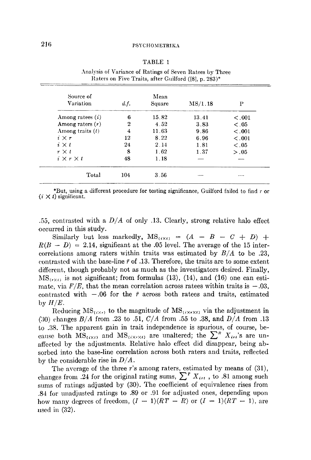#### TABLE 1

| Source of<br>Variation | d.f. | Mean<br>Square | MS/1.18 | P       |
|------------------------|------|----------------|---------|---------|
| Among ratees $(i)$     | 6    | 1582           | 13.41   | < 0.001 |
| Among raters $(r)$     | 2    | 4.52           | 3.83    | < 0.05  |
| Among traits $(t)$     | 4    | 11.63          | 9.86    | < 0.001 |
| $i \times r$           | 12   | 8.22           | 6.96    | < 0.001 |
| $i \times t$           | 24   | 2.14           | 1.81    | < 0.05  |
| $r \times t$           | 8    | 1.62           | 1.37    | > 0.05  |
| $i \times r \times t$  | 48   | 1.18           |         |         |
| Total                  | 104  | 3.56           |         |         |

Analysis of Variance of Ratings of Seven Ratees by Three Raters on Five Traits, after Guilford ([8], p. 283)\*

\*But, using a different procedure for testing significance, Guilford failed to find r or  $(i \times i)$  significant.

.55, contrasted with a *D/A* of only .13. Clearly, strong relative halo effect occurred in this study.

Similarly but less markedly,  $MS_{(i \times i)} = (A - B - C + D) +$  $R(B - D) = 2.14$ , significant at the .05 level. The average of the 15 intercorrelations among raters within traits was estimated by *B/A* to be .23, contrasted with the base-line  $\bar{r}$  of .13. Therefore, the traits are to some extent different, though probably not as much as the investigators desired. Finally,  $MS_{(r\times r)}$  is not significant; from formulas (13), (14), and (16) one can estimate, via  $F/E$ , that the mean correlation across ratees within traits is  $-.03$ , contrasted with  $-.06$  for the  $\bar{r}$  across both ratees and traits, estimated  $by H/E.$ 

Reducing  $MS_{(i \times r)}$  to the magnitude of  $MS_{(i \times r \times t)}$  via the adjustment in (30) changes *B/A* from .23 to .51, *C/A* from .55 to .38, and *D/A* from .13 to .38. The apparent gain in trait independence is spurious, of course, because both  $\overline{\text{MS}}_{(i \times r)}$  and  $\overline{\text{MS}}_{(i \times r \times t)}$  are unaltered; the  $\sum^{n} X_{i}$  is are unaffected by the adjustments. Relative halo effect did disappear, being absorbed into the base-line correlation across both raters and traits, reflected by the considerable rise in *D/A.* 

The average of the three r's among raters, estimated by means of (31), changes from .24 for the original rating sums,  $\sum^{r} X_{i,rt}$ , to .81 among such sums of ratings adjusted by (30). The coefficient of equivalence rises from .84 for unadjusted ratings to .89 or .91 for adjusted ones, depending upon how many degrees of freedom,  $(I - 1)(RT - R)$  or  $(I - 1)(RT - 1)$ , are used in  $(32)$ .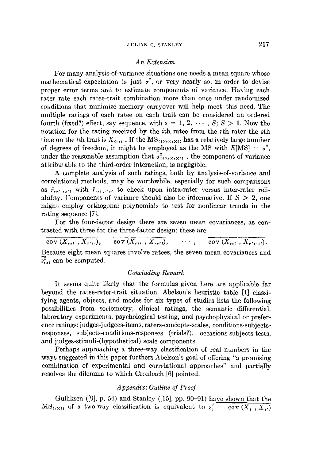#### *An Extension*

For many analysis-of-variance situations one needs a mean square whose mathematical expectation is just  $\sigma^2$ , or very nearly so, in order to devise proper error terms and to estimate components of variance. Having each rater rate each ratee-trait combination more than once under randomized conditions that minimize memory carryover will help meet this need. The multiple ratings of each ratee on each trait can be considered an ordered fourth (fixed?) effect, say sequence, with  $s = 1, 2, \cdots, S; S > 1$ . Now the notation for the rating received by the ith ratee from the rth rater the sth time on the tth trait is  $X_{irs}$ . If the  $\text{MS}_{(i\times r\times s\times t)}$  has a relatively large number of degrees of freedom, it might be employed as the MS with  $E[MS] = \sigma^2$ , under the reasonable assumption that  $\sigma^2_{\langle i \times r \times \bullet \times I \rangle}$ , the component of variance attributable to the third-order interaction, is negligible.

A complete analysis of such ratings, both by analysis-of-variance and correlational methods, may be worthwhile, especially for such comparisons as  $\bar{r}_{ret,rs'i}$  with  $\bar{r}_{ret,r'st}$  to check upon intra-rater versus inter-rater reliability. Components of variance should also be informative. If  $S > 2$ , one might employ orthogonal polynomials to test for nonlinear trends in the rating sequence [7].

For the four-factor design there are seven mean eovariances, as contrasted with three for the three-factor design; these are

 $\overline{\text{cov}(X_{rst}, X_{r'st})}, \quad \text{cov}(X_{rst}, X_{rt't}), \quad \cdots, \quad \overline{\text{cov}(X_{rst}, X_{r's't})}.$ 

Because eight mean squares involve ratees, the seven mean covariances and  $\overline{s}_{rst}^2$  can be computed.

# *Concluding Remark*

It seems quite likely that the formulas given here are applicable far beyond the ratee-rater-trait situation. Abelson's heuristic table [1] classifying agents, objects, and modes for six types of studies lists the following possibilities from sociometry, clinical ratings, the semantic differential, laboratory experiments, psychological testing, and psychophysical or preference ratings: judges-judgees-items, raters-concepts-scales, conditions-subjectsresponses, subjects-conditions-responses (trials?), occasions-subjects-tests, and judges-stimuli-(hypothetical) scale components.

Perhaps approaching a three-way classification of real numbers in the ways suggested in this paper furthers Abelson's goal of offering "a promising combination of experimental and correlational approaches" and partially resolves the dilemma to which Cronbach [6] pointed.

# *Appendix: Outline of Proof*

Gulliksen ([9], p. 54) and Stanley ([15], pp. 90-91) have shown that the  $MS_{(i \times j)}$  of a two-way classification is equivalent to  $s_j^2 = \overline{cov(X_j, X_j)}$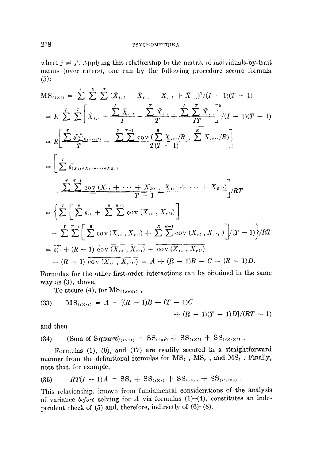where  $j \neq j'$ . Applying this relationship to the matrix of individuals-by-trait means (over raters), one can by the following proeedure secure formula (3):

$$
MS_{(i \times t)} = \sum_{i=1}^{t} \sum_{i=1}^{R} \sum_{i=1}^{T} (\tilde{X}_{i,t} - \tilde{X}_{i,t} - \tilde{X}_{i,t} + \tilde{X}_{i,t})^{2}/(I - 1)(T - 1)
$$
  
\n
$$
= R \sum_{i=1}^{t} \sum_{i=1}^{T} \left[ \tilde{X}_{i,t} - \frac{\sum_{i=1}^{T} \tilde{X}_{i,t}}{I} - \frac{\sum_{i=1}^{T} \tilde{X}_{i,t}}{I} + \frac{\sum_{i=1}^{T} \sum_{i=1}^{T} \tilde{X}_{i,t}}{I!} \right]^{2}/(I - 1)(T - 1)
$$
  
\n
$$
= R \left[ \frac{\sum_{i=1}^{T} s_{i}^{2} \tilde{X}_{i,t} \tilde{X}_{i,t}}{I!} - \frac{\sum_{i=1}^{T-1} \text{cov} \left( \sum_{i=1}^{R} X_{i,t}/R, \sum_{i=1}^{R} X_{i,t}/R \right)}{I!} \right]
$$
  
\n
$$
= \left[ \sum_{i=1}^{T} s_{i}^{2} \tilde{X}_{i,t} + \sum_{i=1}^{T-1} \sum_{i=1}^{T-1} \frac{X_{i,t}^{2} + \cdots + X_{R,t}}{I!} \right] / RT
$$
  
\n
$$
= \left\{ \sum_{i=1}^{T} \left[ \sum_{i=1}^{R} s_{i,t}^{2} + \sum_{i=1}^{R} \sum_{i=1}^{R-1} \text{cov} \left( X_{i,t} \right, X_{i,t} \right) \right]
$$
  
\n
$$
- \sum_{i=1}^{T} \sum_{i=1}^{T-1} \left[ \sum_{i=1}^{R} \text{cov} \left( X_{i,t} \right, X_{i,t} \right) + \sum_{i=1}^{R} \sum_{i=1}^{R-1} \text{cov} \left( X_{i,t} \right, X_{i,t} \right) \right] / (T - 1) \right\} / RT
$$
  
\n
$$
= \overline{s}_{i,t}^{2} + (R - 1) \overline{\text{cov} \left( X_{i,t} \right, X_{i,t}}) = A + (R - 1)B - C
$$

Formulas for the other first-order interactions can be obtained in the same way as (3), above.

To secure (4), for  $MS_{(i \times r \times r)}$ ,

(33) 
$$
MS_{(i \times r)} = A - [(R-1)B + (T-1)C + (R-1)(T-1)D]/(RT-1)
$$

and then

(34) (Sum of Squares)<sub>(i×t)</sub> = 
$$
SS_{(i×t)}
$$
 +  $SS_{(i×t)}$  +  $SS_{(i×t)}$ .

Formulas (1), (9), and (17) are readily secured in a straightforward manner from the definitional formulas for  $MS_i$  ,  $MS_r$  , and  $MS_t$  . Finally, note that, for example,

$$
(35) \hspace{1cm} RT(I-1)A = SS_i + SS_{(i\times r)} + SS_{(i\times t)} + SS_{(i\times r\times t)}.
$$

This relationship, known from fundamental considerations of the analysis of variance *before* solving for  $A$  via formulas  $(1)-(4)$ , constitutes an independent cheek of (5) and, therefore, indirectly of (6)-(8).